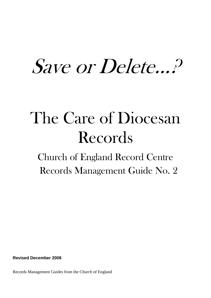# Save or Delete…?

## The Care of Diocesan Records

Church of England Record Centre Records Management Guide No. 2

**Revised December 2008**

Records Management Guides from the Church of England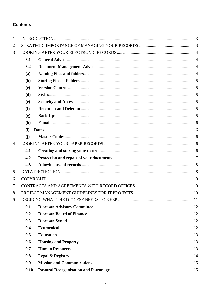#### **Contents**

| $\mathbf{1}$   |      |  |  |
|----------------|------|--|--|
| $\overline{2}$ |      |  |  |
| 3              |      |  |  |
|                | 3.1  |  |  |
|                | 3.2  |  |  |
|                | (a)  |  |  |
|                | (b)  |  |  |
|                | (c)  |  |  |
|                | (d)  |  |  |
|                | (e)  |  |  |
|                | (f)  |  |  |
|                | (g)  |  |  |
|                | (h)  |  |  |
|                | (i)  |  |  |
|                | (i)  |  |  |
| $\overline{4}$ |      |  |  |
|                | 4.1  |  |  |
|                | 4.2  |  |  |
|                | 4.3  |  |  |
| 5              |      |  |  |
| 6              |      |  |  |
| 7              |      |  |  |
| 8              |      |  |  |
| 9              |      |  |  |
|                | 9.1  |  |  |
|                | 9.2  |  |  |
|                | 9.3  |  |  |
|                | 9.4  |  |  |
|                | 9.5  |  |  |
|                | 9.6  |  |  |
|                | 9.7  |  |  |
|                | 9.8  |  |  |
|                | 9.9  |  |  |
|                | 9.10 |  |  |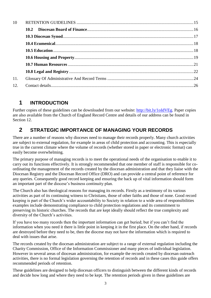| 10  |  |
|-----|--|
|     |  |
|     |  |
|     |  |
|     |  |
|     |  |
|     |  |
|     |  |
| 11. |  |
| 12. |  |

## <span id="page-2-0"></span>**1 INTRODUCTION**

Further copies of these guidelines can be downloaded from our website: [http://bit.ly/1oIdVEg.](http://bit.ly/1oIdVEg) Paper copies are also available from the Church of England Record Centre and details of our address can be found in Section 12.

## <span id="page-2-1"></span>**2 STRATEGIC IMPORTANCE OF MANAGING YOUR RECORDS**

There are a number of reasons why dioceses need to manage their records properly. Many church activities are subject to external regulation, for example in areas of child protection and accounting. This is especially true in the current climate where the volume of records (whether stored in paper or electronic format) can easily become overwhelming.

The primary purpose of managing records is to meet the operational needs of the organisation to enable it to carry out its functions effectively. It is strongly recommended that one member of staff is responsible for coordinating the management of the records created by the diocesan administration and that they liaise with the Diocesan Registry and the Diocesan Record Office (DRO) and can provide a central point of reference for any queries. Consequently good record keeping and ensuring the back up of vital information should form an important part of the diocese's business continuity plan.

The Church also has theological reasons for managing its records. Firstly as a testimony of its various activities as part of its continuing witness to Christians, those of other faiths and those of none. Good record keeping is part of the Church's wider accountability to Society in relation to a wide area of responsibilities examples include demonstrating compliance to child protection regulations and its commitment to preserving its historic churches. The records that are kept ideally should reflect the true complexity and diversity of the Church's activities.

If you have too many records then the important information can get buried; but if you can't find the information when you need it there is little point in keeping it in the first place. On the other hand, if records are destroyed before they need to be, then the diocese may not have the information which is required to deal with issues that arise.

The records created by the diocesan administration are subject to a range of external regulation including the Charity Commission, Office of the Information Commissioner and many pieces of individual legislation. However in several areas of diocesan administration, for example the records created by diocesan outreach activities, there is no formal legislation governing the retention of records and in these cases this guide offers recommended periods of retention.

These guidelines are designed to help diocesan officers to distinguish between the different kinds of records and decide how long and where they need to be kept. The retention periods given in these guidelines are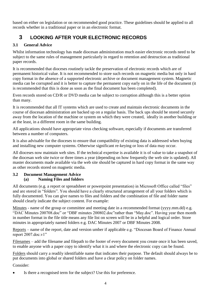based on either on legislation or on recommended good practice. These guidelines should be applied to all records whether in a traditional paper or in an electronic format.

## <span id="page-3-0"></span>**3 LOOKING AFTER YOUR ELECTRONIC RECORDS**

#### <span id="page-3-1"></span>**3.1 General Advice**

Whilst information technology has made diocesan administration much easier electronic records need to be subject to the same rules of management particularly in regard to retention and destruction as traditional paper records.

It is recommended that dioceses routinely tackle the preservation of electronic records which are of permanent historical value. It is not recommended to store such records on magnetic media but only in hard copy format in the absence of a supported electronic archive or document management system. Magnetic media can be corrupted and it is better to capture the permanent copy early on in the life of the document (it is recommended that this is done as soon as the final document has been completed).

Even records stored on CD/R or DVD media can be subject to corruption although this is a better option than many.

It is recommended that all IT systems which are used to create and maintain electronic documents in the course of diocesan administration are backed up on a regular basis. The back ups should be stored securely away from the location of the machine or system on which they were created, ideally in another building or at the least, in a different room in the same building.

All applications should have appropriate virus checking software, especially if documents are transferred between a number of computers.

It is also advisable for the dioceses to ensure that compatibility of existing data is addressed when buying and installing new computer systems. Otherwise significant re-keying or loss of data may occur.

All dioceses now maintain web sites. If the technical expertise is available it is of value to take a snapshot of the diocesan web site twice or three times a year (depending on how frequently the web site is updated). All master documents made available via the web site should be captured in hard copy format in the same way as other records stored on magnetic media.

#### <span id="page-3-3"></span><span id="page-3-2"></span>**3.2 Document Management Advice (a) Naming Files and folders**

All documents (e.g. a report or spreadsheet or powerpoint presentation) in Microsoft Office called "files" and are stored in "folders". You should have a clearly structured arrangement of all your folders which is fully documented. You can give names to files and folders and the combination of file and folder name should clearly indicate the subject content. For example:

Minutes - name of the group or committee and meeting date in a recommended format (yyyy.mm.dd) e.g. "DAC Minutes 200708.doc" or "DBF minutes 200802.doc"rather than "May.doc". Having year then month in number format in the file title means any file list on screen will be in a helpful and logical order. Store minutes in appropriately named folders e.g. DAC Minutes 2007 or DBF Minutes 2008.

Reports – name of the report, date and version umber if applicable e.g. "Diocesan Board of Finance Annual report 2007.doc.v1"

Filenames – add the filename and filepath to the footer of every document you create once it has been saved, to enable anyone with a paper copy to identify what it is and where the electronic copy can be found.

Folders should carry a readily identifiable name that indicates their purpose. The default should always be to put documents into global or shared folders and have a clear policy on folder names.

Consider:

Is there a recognised term for the subject? Use this for preference.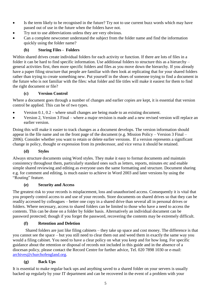- Is the term likely to be recognised in the future? Try not to use current buzz words which may have passed out of use in the future when the folders have not.
- Try not to use abbreviations unless they are very obvious.
- Can a complete newcomer understand the subject from the folder name and find the information quickly using the folder name?

#### **(b) Storing Files - Folders**

<span id="page-4-0"></span>Within shared drives create individual folders for each activity or function. If there are lots of files in a folder it can be hard to find specific information. Use additional folders to structure this as a hierarchy – general activities first, then more specific folders and files as you move down the hierarchy. If you already have a paper filing structure that people are familiar with then look at replicating that for your shared folders rather than trying to create something new. Put yourself in the shoes of someone trying to find a document in the future who is not familiar with the files: what folder and file titles will make it easiest for them to find the right document or file?

#### **(c) Version Control**

<span id="page-4-1"></span>Where a document goes through a number of changes and earlier copies are kept, it is essential that version control be applied. This can be of two types.

- Version 0.1, 0.2 where small changes are being made to an existing document.
- Version 2, Version 3 Final where a major revision is made and a new revised version will replace an earlier version.

Doing this will make it easier to track changes as a document develops. The version information should appear in the file name and on the front page of the document (e.g. Mission Policy – Version 3 Final – 2006). Consider whether you want to retain or delete earlier versions. If a version represents a significant change in policy, thought or expression from its predecessor, and vice versa it should be retained.

#### **(d) Styles**

<span id="page-4-2"></span>Always structure documents using Word styles. They make it easy to format documents and maintain consistency throughout them, particularly standard ones such as letters, reports, minutes etc and enable simple shared reviewing and editing as everyone uses the same formatting and structure. Document sharing e.g. for comment and editing, is much easier to achieve in Word 2003 and later versions by using the "Routing" feature.

#### **(e) Security and Access**

<span id="page-4-3"></span>The greatest risk to your records is misplacement, loss and unauthorised access. Consequently it is vital that you properly control access to and use of your records. Store documents on shared drives so that they can be readily accessed by colleagues – better one copy in a shared drive than several all in personal drives or folders. Where necessary, access to shared folders can be limited to those who have a need to access the contents. This can be done on a folder by folder basis. Alternatively an individual document can be password protected; though if you forget the password, recovering the contents may be extremely difficult.

#### **(f) Retention and Deletion**

<span id="page-4-4"></span>Shared folders are just like filing cabinets – they take up space and cost money. The difference is that you cannot see the space – but you still need to clear them out and weed them in exactly the same way you would a filing cabinet. You need to have a clear policy on what you keep and for how long. For specific guidance about the retention or disposal of records not included in this guide and in the absence of a diocesan policy, please contact the Record Centre for further advice, Tel. 020 7898 1030 or e-mail: [archives@churchofengland.org.](archives@churchofengland.org)

#### **(g) Back Ups**

<span id="page-4-5"></span>It is essential to make regular back ups and anything saved to a shared folder on your servers is usually backed up regularly by your IT department and can be recovered in the event of a problem with your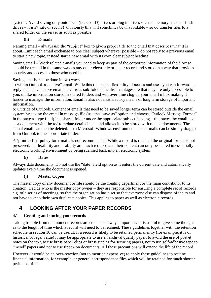systems. Avoid saving only onto local (i.e. C or D) drives or plug in drives such as memory sticks or flash drives – it isn't safe or secure! Obviously this will sometimes be unavoidable – so do transfer files to a shared folder on the server as soon as possible.

#### **(h) E-mails**

<span id="page-5-0"></span>Naming email – always use the "subject" box to give a proper title to the email that describes what it is about. Limit each email exchange to one clear subject wherever possible – do not reply to a previous email to start a new topic, instead start a new email with its own clear subject heading.

Saving email – Work related e-mails you need to keep as part of the corporate information of the diocese should be treated in the same way as any other electronic or paper record and stored in a way that provides security and access to those who need it.

Saving emails can be done in two ways –

a) within Outlook as a "live" email. While this retains the flexibility of access and use - you can forward it, reply etc. and can store emails in various sub-folders the disadvantages are that they are only accessible to you, unlike information stored in shared folders and will over time clog up your email inbox making it harder to manager the information. Email is also not a satisfactory means of long term storage of important information.

b) Outside of Outlook. Content of emails that need to be saved longer term can be stored outside the email system by saving the email in message file (use the "save as" option and choose "Outlook Message Format" in the save as type field) in a shared folder under the appropriate subject heading – this saves the email text as a document with the to/from/date details intact and allows it to be stored with related documents. The actual email can then be deleted. In a Microsoft Windows environment, such e-mails can be simply dragged from Outlook to the appropriate folder.

A 'print to file' policy for e-mails is not recommended. While a record is retained the original format is not preserved, its flexibility and usability are much reduced and their content can only be shared in essentially electronic working environment by being scanned back into an electronic system.

#### **(i) Dates**

<span id="page-5-1"></span>Always date documents. Do not use the "date" field option as it enters the current date and automatically updates every time the document is opened.

#### **(j) Master Copies**

<span id="page-5-2"></span>The master copy of any document or file should be the creating department or the main contributor to its creation. Decide who is the master copy owner – they are responsible for ensuring a complete set of records e.g. of a series of meetings, so that the organisation has a set so that everyone else can dispose of theirs and not have to keep their own duplicate copies. This applies to paper as well as electronic records.

## <span id="page-5-3"></span>**4 LOOKING AFTER YOUR PAPER RECORDS**

#### <span id="page-5-4"></span>**4.1 Creating and storing your records**

Taking trouble from the moment records are created is always important. It is useful to give some thought as to the length of time which a record will need to be retained. These guidelines together with the retention schedule in section 10 can be useful. If a record is likely to be retained permanently (for example, it is of historical or legal value) it may be appropriate to use an archival quality paper, to avoid the use of post-it notes on the text, to use brass paper clips or brass staples for securing papers, not to use self-adhesive tape to "mend" papers and not to use tippex on documents. All these precautions will extend the life of the record.

However, it would be an over-reaction (not to mention expensive) to apply these guidelines to routine financial information, for example, or general correspondence files which will be retained for much shorter periods of time.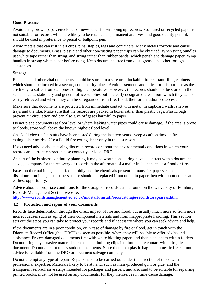#### **Good Practice**

Avoid using brown paper, envelopes or newspaper for wrapping up records. Coloured or recycled paper is not suitable for records which are likely to be retained as permanent archives, and good quality pen ink should be used in preference to pencil or ballpoint pen.

Avoid metals that can rust in all clips, pins, staples, tags and containers. Many metals corrode and cause damage to documents. Brass, plastic and other non-rusting paper clips can be obtained. When tying bundles use white tape rather than string, and string rather than rubber bands, which perish and damage paper. Wrap bundles in strong white paper before tying. Keep documents free from dust, grease and other foreign substances.

#### **Storage**

Registers and other vital documents should be stored in a safe or in lockable fire resistant filing cabinets which should be located in a secure, cool and dry place. Avoid basements and attics for this purpose as these are likely to suffer from dampness or high temperatures. However, the records should not be stored in the same place as stationery and general office supplies but in clearly designated areas from which they can be easily retrieved and where they can be safeguarded from fire, flood, theft or unauthorised access.

Make sure that documents are protected from immediate contact with metal, in cupboard walls, shelves, trays and the like. Make sure that the records are packed in boxes rather than plastic bags. Plastic bags prevent air circulation and can also give off gases harmful to paper.

Do not place documents at floor level or where leaking water pipes could cause damage. If the area is prone to floods, store well above the known highest flood level.

Check all electrical circuits have been tested during the last two years. Keep a carbon dioxide fire extinguisher nearby. Use a liquid fire extinguisher only in the last resort.

If you need advice about storing diocesan records or about the environmental conditions in which your records are currently stored please contact your local DRO.

As part of the business continuity planning it may be worth considering have a contract with a document salvage company for the recovery of records in the aftermath of a major incident such as a flood or fire.

Faxes on thermal image paper fade rapidly and the chemicals present in many fax papers cause discolouration in adjacent papers- these should be replaced if not on plain paper then with photocopies at the earliest opportunity.

Advice about appropriate conditions for the storage of records can be found on the University of Edinburgh Records Management Section website:

[http://www.recordsmanagement.ed.ac.uk/infostaff/rmstaff/recordstorage/recordstorageareas.htm.](http://www.recordsmanagement.ed.ac.uk/infostaff/rmstaff/recordstorage/recordstorageareas.htm)

#### <span id="page-6-0"></span>**4.2 Protection and repair of your documents**

Records face deterioration through the direct impact of fire and flood, but usually much more so from more indirect causes such as aging of their component materials and from inappropriate handling. This section sets out the steps you can take to protect your records and if necessary where you can seek advice and help.

If the documents are in a poor condition, or in case of damage by fire or flood, get in touch with the Diocesan Record Office (the "DRO") as soon as possible, where they will be able to offer advice and assistance. Protect damaged documents first with white blotting paper, and then place them within folders. Do not bring any abrasive material such as metal bulldog clips into immediate contact with a fragile document. Do not attempt to dry sodden documents. Store them in a plastic bag in a domestic freezer until advice is available from the DRO or document salvage company.

Do not attempt any type of repair. Repairs need to be carried out under the direction of those with professional expertise. Materials likely to be at hand, such as mass-produced gum or glue, and the transparent self-adhesive strips intended for packages and parcels, and also said to be suitable for repairing printed books, must not be used on any documents, for they themselves in time cause damage.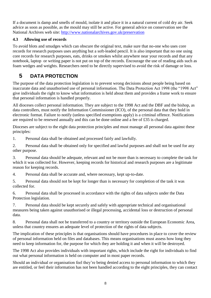If a document is damp and smells of mould, isolate it and place it in a natural current of cold dry air. Seek advice as soon as possible, as the mould may still be active. For general advice on conservation see the National Archives web site:<http://www.nationalarchives.gov.uk/preservation>

#### <span id="page-7-0"></span>**4.3 Allowing use of records**

To avoid blots and smudges which can obscure the original text, make sure that no-one who uses core records for research purposes uses anything but a soft-leaded pencil. It is also important that no one using core records for research purposes, eats, drinks or smokes whilst anywhere near your records and that any notebook, laptop or writing paper is not put on top of the records. Encourage the use of reading aids such as foam wedges and weights. Researchers need to be directly supervised to avoid the risk of damage or loss.

## <span id="page-7-1"></span>**5 DATA PROTECTION**

The purpose of the data protection legislation is to prevent wrong decisions about people being based on inaccurate data and unauthorised use of personal information. The Data Protection Act 1998 (the "1998 Act" give individuals the right to know what information is held about them and provides a frame work to ensure that personal information is handled properly.

All dioceses collect personal information. They are subject to the 1998 Act and the DBF and the bishop, as data controllers, must notify the Information Commissioner (ICO), of the personal data that they hold in electronic format. Failure to notify (unless specified exemptions apply) is a criminal offence. Notifications are required to be renewed annually and this can be done online and a fee of £35 is charged.

Dioceses are subject to the eight data protection principles and must manage all personal data against these principles:

1. Personal data shall be obtained and processed fairly and lawfully.

2. Personal data shall be obtained only for specified and lawful purposes and shall not be used for any other purpose.

3. Personal data should be adequate, relevant and not be more than is necessary to complete the task for which it was collected for. However, keeping records for historical and research purposes are a legitimate reason for keeping records.

4. Personal data shall be accurate and, where necessary, kept up-to-date.

5. Personal data should not be kept for longer than is necessary for completion of the task it was collected for.

6. Personal data shall be processed in accordance with the rights of data subjects under the Data Protection legislation.

7. Personal data should be kept securely and safely with appropriate technical and organisational measures being taken against unauthorised or illegal processing, accidental loss or destruction of personal data.

8. Personal data shall not be transferred to a country or territory outside the European Economic Area, unless that country ensures an adequate level of protection of the rights of data subjects.

The implication of these principles is that organisations should have procedures in place to cover the review of personal information held on files and databases. This means organisations must assess how long they need to keep information for, the purpose for which they are holding it and when it will be destroyed.

The 1998 Act also provides individuals with important rights, which include the right for individuals to find out what personal information is held on computer and in most paper records.

Should an individual or organisation feel they're being denied access to personal information to which they are entitled, or feel their information has not been handled according to the eight principles, they can contact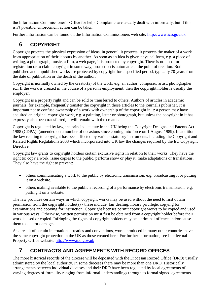the Information Commissioner's Office for help. Complaints are usually dealt with informally, but if this isn't possible, enforcement action can be taken.

Further information can be found on the Information Commissioners web site: [http://www.ico.gov.uk](http://www.ico.gov.uk/)

## <span id="page-8-0"></span>**6 COPYRIGHT**

Copyright protects the physical expression of ideas, in general, it protects, it protects the maker of a work from appropriation of their labours by another. As soon as an idea is given physical form, e.g. a piece of writing, a photograph, music, a film, a web page, it is protected by copyright. There is no need for registration or to claim copyright in some way, protection is automatic at the point of creation. Both published and unpublished works are protected by copyright for a specified period, typically 70 years from the date of publication or the death of the author.

Copyright is normally owned by the creator(s) of the work, e.g. an author, composer, artist, photographer etc. If the work is created in the course of a person's employment, then the copyright holder is usually the employer.

Copyright is a property right and can be sold or transferred to others. Authors of articles in academic journals, for example, frequently transfer the copyright in those articles to the journal's publisher. It is important not to confuse ownership of a work with ownership of the copyright in it: a person may have acquired an original copyright work, e.g. a painting, letter or photograph, but unless the copyright in it has expressly also been transferred, it will remain with the creator.

Copyright is regulated by law, the principal statute in the UK being the Copyright Designs and Patents Act 1988 (CDPA). (amended on a number of occasions since coming into force on 1 August 1989). In addition the law relating to copyright has been affected by various statutory instruments. including the Copyright and Related Rights Regulations 2003 which incorporated into UK law the changes required by the EU Copyright Directive.

Copyright law grants to copyright holders certain exclusive rights in relation to their works. They have the right to: copy a work, issue copies to the public, perform show or play it, make adaptations or translations. They also have the right to prevent:

- others communicating a work to the public by electronic transmission, e.g. broadcasting it or putting it on a website.
- others making available to the public a recording of a performance by electronic transmission, e.g. putting it on a website.

The law provides certain ways in which copyright works may be used without the need to first obtain permission from the copyright holder(s) - these include, fair dealing, library privilege, copying for examinations and copying for instruction. Copyright licenses permit copyright works to be copied and used in various ways. Otherwise, written permission must first be obtained from a copyright holder before their work is used or copied. Infringing the rights of copyright holders may be a criminal offence and/or cause them to sue for damages.

As a result of certain international treaties and conventions, works produced in many other countries have the same copyright protection in the UK as those created here. For further information, see Intellectual Property Office website: [http://www.ipo.gov.uk](http://www.ipo.gov.uk/)

## <span id="page-8-1"></span>**7 CONTRACTS AND AGREEMENTS WITH RECORD OFFICES**

The more historical records of the diocese will be deposited with the Diocesan Record Office (DRO) usually administered by the local authority. In some dioceses there may be more than one DRO. Historically arrangements between individual dioceses and their DRO have been regulated by local agreements of varying degrees of formality ranging from informal understandings through to formal signed agreements.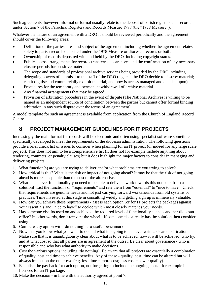Such agreements, however informal or formal usually relate to the deposit of parish registers and records under Section 7 of the Parochial Registers and Records Measure 1978 (the "1978 Measure").

Whatever the nature of an agreement with a DRO it should be reviewed periodically and the agreement should cover the following areas:

- Definition of the parties, area and subject of the agreement including whether the agreement relates solely to parish records deposited under the 1978 Measure or diocesan records or both.
- Ownership of records deposited with and held by the DRO, including copyright status.
- Public access arrangements for records transferred as archives and the confirmation of any necessary closure periods for sensitive material.
- The scope and standards of professional archive services being provided by the DRO including delegating powers of appraisal to the staff of the DRO (e.g. can the DRO decide to destroy material; can it digitise and commercially exploit material; and how is access managed and decided upon).
- Procedures for the temporary and permanent withdrawal of archive material.
- Any financial arrangements that may be agreed.
- Provision of arbitration procedures in the event of dispute (The National Archives is willing to be named as an independent source of conciliation between the parties but cannot offer formal binding arbitration in any such dispute over the terms of an agreement).

A model template for such an agreement is available from application from the Church of England Record Centre.

## <span id="page-9-0"></span>**8 PROJECT MANAGEMENT GUIDELINES FOR IT PROJECTS**

Increasingly the main format for records will be electronic and often using specialist software sometimes specifically developed to meet the requirements of the diocesan administration. The following questions provide a brief check list of issues to consider when planning for an IT project (or indeed for any large scale project). This does not aim to be a comprehensive list (it does not for example include anything about tendering, contracts, or penalty clauses) but it does highlight the major factors to consider in managing and delivering projects.

- 1. What function(s) are you are trying to deliver and/or what problems are you trying to solve?
- 2. How critical is this? What is the risk or impact of not going ahead? It may be that the risk of not going ahead is more acceptable than the cost of the alternative.
- 3. What is the level functionality you need to be able to deliver work towards this not back from a solution! List the functions or "requirements" and rate them from "essential" to "nice to have". Check that requirements are genuine needs and not just carrying forward workarounds from old systems or practices. Time invested at this stage in consulting widely and getting sign up is immensely valuable.
- 4. How can you achieve these requirements assess each option (or for IT projects the package) against your essentials and "nice to have" to decide which most closely matches your needs.
- 5. Has someone else focused on and achieved the required level of functionality such as another diocesan office? In other words, don't reinvent the wheel - if someone else already has the solution then consider using it.
- 6. Compare any option with 'do nothing' as a useful benchmark.
- 7. Now that you know what you want to do and what it is going to achieve, write a clear specification. Make sure that it is unambiguously clear about what is to be achieved, how it will be achieved, who by, and at what cost so that all parties are in agreement at the outset. Be clear about governance - who is responsible and who has what authority to make decisions.
- 8. Cost the various options including 'do nothing'. Be aware that all projects are essentially a combination of quality, cost and time to achieve benefits. Any of these - quality, cost, time can be altered but will always impact on the other two (e.g. less time  $=$  more cost; less cost  $=$  lower quality).
- 9. Establish the pay back for each option, not forgetting to include the ongoing costs for example in licences for an IT package.
- 10. Make the decision in line with the authority agreed at point 7.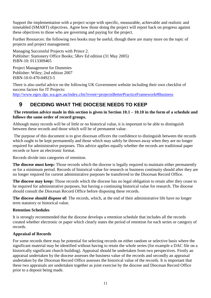Support the implementation with a project scope with specific, measurable, achievable and realistic and timetabled (SMART) objectives. Agree how those doing the project will report back on progress against these objectives to those who are governing and paying for the project.

Further Resources: the following two books may be useful, though there are many more on the topic of projects and project management:

Managing Successful Projects with Prince 2. Publisher: Stationery Office Books; 5Rev Ed edition (31 May 2005) ISBN-10: 0113309465

Project Management for Dummies Publisher: Wiley; 2nd edition 2007 ISBN-10-0-470-04923-5

There is also useful advice on the following UK Government website including their own checklist of success factors for IT Projects: <http://www.egov.dpc.wa.gov.au/index.cfm?event=projectsBetterPracticeFramework#Business>

## <span id="page-10-0"></span>**9 DECIDING WHAT THE DIOCESE NEEDS TO KEEP**

#### **The retention advice made in this section is given in Section 10.1 – 10.10 in the form of a schedule and follows the same order of record groups.**

Although many records will be of little or no historical value, it is important to be able to distinguish between these records and those which will be of permanent value.

The purpose of this document is to give diocesan officers the confidence to distinguish between the records which ought to be kept permanently and those which may safely be thrown away when they are no longer required for administrative purposes. This advice applies equally whether the records are traditional paper records or have an electronic format.

Records divide into categories of retention.

**The diocese must keep:** Those records which the diocese is legally required to maintain either permanently or for a minimum period. Records of historical value for research or business continuity should after they are no longer required for current administrative purposes be transferred to the Diocesan Record Office.

**The diocese may keep:** Those records which the diocese has no legal obligation to retain after they cease to be required for administrative purposes, but having a continuing historical value for research. The diocese should consult the Diocesan Record Office before disposing these records.

**The diocese should dispose of:** The records, which, at the end of their administrative life have no longer term statutory or historical value.

#### **Retention Schedules**

It is strongly recommended that the diocese develops a retention schedule that includes all the records created whether electronic or paper which clearly states the period of retention for each series or category of records.

#### **Appraisal of Records**

For some records there may be potential for selecting records on either random or selective basis where the significant material may be identified without having to retain the whole series (for example a DAC file on a historically significant church building). Appraisal should be undertaken from two perspectives. Firstly an appraisal undertaken by the diocese assesses the business value of the records and secondly an appraisal undertaken by the Diocesan Record Office assesses the historical value of the records. It is important that these two appraisals are undertaken together as joint exercise by the diocese and Diocesan Record Office prior to a deposit being made.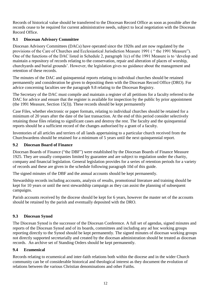Records of historical value should be transferred to the Diocesan Record Office as soon as possible after the records cease to be required for current administrative needs, subject to local negotiation with the Diocesan Record Office.

#### <span id="page-11-0"></span>**9.1 Diocesan Advisory Committee**

Diocesan Advisory Committees (DACs) have operated since the 1920s and are now regulated by the provisions of the Care of Churches and Ecclesiastical Jurisdiction Measure 1991 ( " the 1991 Measure"). One of the functions of the DAC listed in Schedule 2, paragraph 1(c) of the 1991 Measure is to 'develop and maintain a repository of records relating to the conservation, repair and alteration of places of worship, churchyards and burial grounds'. However, the legislation gives no guidance about the management and retention of these records.

The minutes of the DAC and quinquennial reports relating to individual churches should be retained permanently and consideration be given to depositing them with the Diocesan Record Office (DRO). For advice concerning faculties see the paragraph 9.8 relating to the Diocesan Registry.

The Secretary of the DAC must compile and maintain a register of all petitions for a faculty referred to the DAC for advice and ensure that the register is available for inspection by the public by prior appointment (the 1991 Measure, Section 15(3)). These records should be kept permanently

Case Files, whether electronic or paper formats, relating to individual churches should be retained for a minimum of 20 years after the date of the last transaction. At the end of this period consider selectively retaining those files relating to significant cases and destroy the rest. The faculty and the quinquennial reports should be a sufficient record of the changes authorised by a grant of a faculty.

Inventories of all articles and terriers of all lands appertaining to a particular church received from the Churchwardens should be retained for a minimum of 5 years until the next quinquennial report.

#### <span id="page-11-1"></span>**9.2 Diocesan Board of Finance**

Diocesan Boards of Finance ("the DBF") were established by the Diocesan Boards of Finance Measure 1925. They are usually companies limited by guarantee and are subject to regulation under the charity, company and financial legislation. General legislation provides for a series of retention periods for a variety of records and these are given in the schedule following paragraph 10d of this guide.

The signed minutes of the DBF and the annual accounts should be kept permanently.

Stewardship records including accounts, analysis of results, promotional literature and training should be kept for 10 years or until the next stewardship campaign as they can assist the planning of subsequent campaigns.

Parish accounts received by the diocese should be kept for 6 years, however the master set of the accounts should be retained by the parish and eventually deposited with the DRO.

#### <span id="page-11-2"></span>**9.3 Diocesan Synod**

The Diocesan Synod is the successor of the Diocesan Conference. A full set of agendas, signed minutes and reports of the Diocesan Synod and of its boards, committees and including any ad hoc working groups reporting directly to the Synod should be kept permanently. The signed minutes of diocesan working groups not directly supported secretarially and created by the diocesan administration should be treated as diocesan records. An archive set of Standing Orders should be kept permanently.

#### <span id="page-11-3"></span>**9.4 Ecumenical**

Records relating to ecumenical and inter-faith relations both within the diocese and in the wider Church community can be of considerable historical and theological interest as they document the evolution of relations between the various Christian denominations and other Faiths.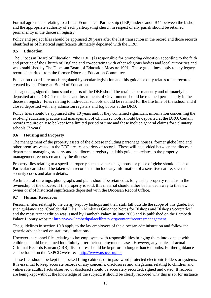Formal agreements relating to a Local Ecumenical Partnership (LEP) under Canon B44 between the bishop and the appropriate authority of each participating church in respect of any parish should be retained permanently in the diocesan registry.

Policy and project files should be appraised 20 years after the last transaction in the record and those records identified as of historical significance ultimately deposited with the DRO.

#### <span id="page-12-0"></span>**9.5 Education**

The Diocesan Board of Education ("the DBE") is responsible for promoting education according to the faith and practice of the Church of England and co-operating with other religious bodies and local authorities and was established by The Diocesan Board of Education Measure 1991. These guidelines apply to any legacy records inherited from the former Diocesan Education Committee.

Education records are much regulated by secular legislation and this guidance only relates to the records created by the Diocesan Board of Education.

The agendas, signed minutes and reports of the DBE should be retained permanently and ultimately be deposited at the DRO. Trust deeds and Instruments of Government should be retained permanently in the diocesan registry. Files relating to individual schools should be retained for the life time of the school and if closed deposited with any admission registers and log books at the DRO.

Policy files should be appraised after 10 years and, if they contained significant information concerning the evolving education practice and management of Church schools, should be deposited at the DRO. Certain records require only to be kept for a limited period of time and these include general claims for voluntary schools (7 years).

#### <span id="page-12-1"></span>**9.6 Housing and Property**

The management of the property assets of the diocese including parsonage houses, former glebe land and other premises vested in the DBF creates a variety of records. These will be divided between the diocesan department managing property and the diocesan registry and this guidance relates to the property management records created by the diocese.

Property files relating to a specific property such as a parsonage house or piece of glebe should be kept. Particular care should be taken with records that include any information of a sensitive nature, such as security codes and alarm details.

Architectural drawings, photographs and plans should be retained as long as the property remains in the ownership of the diocese. If the property is sold, this material should either be handed away to the new owner or if of historical significance deposited with the Diocesan Record Office.

#### <span id="page-12-2"></span>**9.7 Human Resources**

Personnel files relating to the clergy kept by bishops and their staff fall outside the scope of this guide. For such guidance see 'Confidential Files On Ministers Guidance Notes for Bishops and Bishops Secretaries' and the most recent edition was issued by Lambeth Palace in June 2008 and is published on the Lambeth Palace Library website:<http://www.lambethpalacelibrary.org/content/recordsmanagement>

The guidelines in section 10.8 apply to the lay employees of the diocesan administration and follow the generic advice based on statutory limitations.

However, personnel files relating to lay employees with responsibilities bringing them into contact with children should be retained indefinitely after their employment ceases. However, any copies of actual Criminal Records Bureau (CRB) disclosures should be kept for no longer than 6 months. Further guidance can be found on the NSPCC website: - [http://www.nspcc.org.uk](http://www.nspcc.org.uk/)

These files should be kept in a locked filing cabinets or in pass word protected electronic folders or systems. It is essential to keep accurate records of any concerns, disclosures and allegations relating to children and vulnerable adults. Facts observed or disclosed should be accurately recorded, signed and dated. If records are being kept without the knowledge of the subject, it should be clearly recorded why this is so, for instance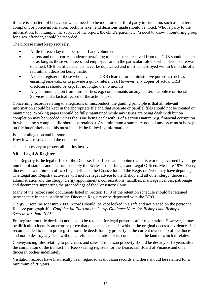if there is a pattern of behaviour which needs to be monitored or third party information, such as a letter of complaint or police information. Actions taken and decisions made should be noted. Who is party to the information, for example, the subject of the report, the child's parent etc, 'a need to know' monitoring group for a sex offender, should be recorded

#### The diocese **must keep securely**:

- A file for each lay member of staff and volunteer
- Letters and other correspondence pertaining to disclosures received from the CRB should be kept for as long as those volunteers and employees are in the particular role for which Disclosure was obtained. CRB certificates must never be duplicated and must be destroyed within 6 months of a recruitment decision being made.
- A dated register of those who have been CRB cleared, for administrative purposes (such as ensuring renewals, or to provide a quick reference). However, any copies of actual CRB disclosures should be kept for no longer than 6 months.
- Any communication from third parties, e.g. complainants on any matter, the police or Social Services and a factual record of the actions taken.

Concerning records relating to allegations of misconduct, the guiding principle is that all relevant information should be kept in the appropriate file and that separate or parallel files should not be created or maintained. Working papers should be fully maintained while any issues are being dealt with but on completion may be weeded unless the issue being dealt with is of a serious nature (e.g. financial corruption in which case a complete file should be retained). As a minimum a summary note of any issue must be kept on file indefinitely and this must include the following information:

Issue or allegation and its source How it was resolved and the outcome

This is necessary to protect all parties involved.

#### <span id="page-13-0"></span>**9.8 Legal & Registry**

The Registry is the legal office of the Diocese. Its officers are appointed and its work is governed by a large number of statutes and measures notably the Ecclesiastical Judges and Legal Officers Measure 1976. Every diocese has a minimum of two Legal Officers, the Chancellor and the Registrar (who may have deputies). The Legal and Registry activities will include legal advice to the Bishop and all other clergy, diocesan administration and the clergy, clergy appointments, consecrations, faculties, marriage licences, patronage and documents supporting the proceedings of the Consistory Court.

Many of the records and documents listed in Section 10. 8 of the retention schedule should be retained permanently in the custody of the Diocesan Registry or be deposited with the DRO.

Clergy Discipline Measure 2003 Records should be kept locked in a safe and not placed on the personnel file; see paragraph 40, '*Confidential Files on the Clergy Guidance Notes for Bishops and Bishops Secretaries, June 2008'*

Pre-registration title deeds do not need to be retained for legal purposes after registration. However, it may be difficult to identify an error or prove that one has been made without the original deeds as evidence. It is recommended to retain pre-registration title deeds for any property in the current ownership of the diocese and not to destroy any deed without careful consideration of its contents and the land to which it relates.

Conveyancing files relating to purchases and sales of diocesan property should be destroyed 15 years after the completion of the transaction. Keep sealing registers for the Diocecsan Board of Finance and other diocesan bodies indefinitely.

Visitation records have historically been regarded as diocesan records and these should be retained for a minimum of 20 years.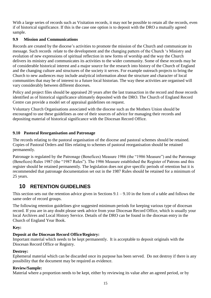With a large series of records such as Visitation records, it may not be possible to retain all the records, even if of historical significance. If this is the case one option is to deposit with the DRO a mutually agreed sample.

#### <span id="page-14-0"></span>**9.9 Mission and Communications**

Records are created by the diocese's activities to promote the mission of the Church and communicate its message. Such records relate to the development and the changing pattern of the Church 's Ministry and evolution of new expressions of spiritual reflection in new forms of worship and the way the Church delivers its ministry and communicates its activities to the wider community. Some of these records may be of considerable historical interest and a major source for the research into history of the Church of England and the changing culture and structures of the society it serves. For example outreach projects to bring the Church to new audiences may include analytical information about the structure and character of local communities that may be of interest to a future local historian. The way these activities are organised will vary considerably between different dioceses.

Policy and project files should be appraised 20 years after the last transaction in the record and those records identified as of historical significance ultimately deposited with the DRO. The Church of England Record Centre can provide a model set of appraisal guidelines on request.

Voluntary Church Organisations associated with the diocese such as the Mothers Union should be encouraged to use these guidelines as one of their sources of advice for managing their records and depositing material of historical significance with the Diocesan Record Office.

#### <span id="page-14-1"></span>**9.10 Pastoral Reorganisation and Patronage**

The records relating to the pastoral organisation of the diocese and pastoral schemes should be retained. Copies of Pastoral Orders and files relating to schemes of pastoral reorganisation should be retained permanently.

Patronage is regulated by the Patronage (Benefices) Measure 1986 (the "1986 Measure") and the Patronage (Benefices) Rules 1987 (the "1987 Rules"). The 1986 Measure established the Register of Patrons and this register should be retained permanently. The legislation does not give specific periods of retention but it is recommended that patronage documentation set out in the 1987 Rules should be retained for a minimum of 25 years.

## <span id="page-14-2"></span>**10 RETENTION GUIDELINES**

This section sets out the retention advice given in Sections  $9.1 - 9.10$  in the form of a table and follows the same order of record groups.

The following retention guidelines give suggested minimum periods for keeping various type of diocesan record. If you are in any doubt please seek advice from your Diocesan Record Office, which is usually your local Archives and Local History Service. Details of the DRO can be found in the diocesan entry in the Church of England Year Book.

#### **Key:**

#### **Deposit at the Diocesan Record Office/Registry:**

Important material which needs to be kept permanently. It is acceptable to deposit originals with the Diocesan Record Office or Registry.

#### **Destroy:**

Ephemeral material which can be discarded once its purpose has been served. Do not destroy if there is any possibility that the document may be required as evidence.

#### **Review/Sample:**

Material where a proportion needs to be kept, either by reviewing its value after an agreed period, or by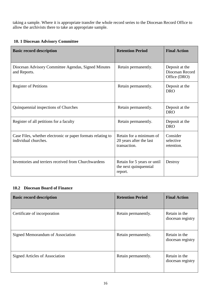taking a sample. Where it is appropriate transfer the whole record series to the Diocesan Record Office to allow the archivists there to take an appropriate sample.

#### **10. 1 Diocesan Advisory Committee**

| <b>Basic record description</b>                                                     | <b>Retention Period</b>                                            | <b>Final Action</b>                               |
|-------------------------------------------------------------------------------------|--------------------------------------------------------------------|---------------------------------------------------|
| Diocesan Advisory Committee Agendas, Signed Minutes<br>and Reports.                 | Retain permanently.                                                | Deposit at the<br>Diocesan Record<br>Office (DRO) |
| <b>Register of Petitions</b>                                                        | Retain permanently.                                                | Deposit at the<br><b>DRO</b>                      |
| Quinquennial inspections of Churches                                                | Retain permanently.                                                | Deposit at the<br><b>DRO</b>                      |
| Register of all petitions for a faculty                                             | Retain permanently.                                                | Deposit at the<br><b>DRO</b>                      |
| Case Files, whether electronic or paper formats relating to<br>individual churches. | Retain for a minimum of<br>20 years after the last<br>transaction. | Consider<br>selective<br>retention.               |
| Inventories and terriers received from Churchwardens                                | Retain for 5 years or until<br>the next quinquennial<br>report.    | Destroy                                           |

#### <span id="page-15-0"></span>**10.2 Diocesan Board of Finance**

| <b>Basic record description</b>  | <b>Retention Period</b> | <b>Final Action</b>                |
|----------------------------------|-------------------------|------------------------------------|
| Certificate of incorporation     | Retain permanently.     | Retain in the<br>diocesan registry |
| Signed Memorandum of Association | Retain permanently.     | Retain in the<br>diocesan registry |
| Signed Articles of Association   | Retain permanently.     | Retain in the<br>diocesan registry |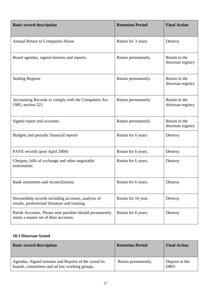| <b>Basic record description</b>                                                                      | <b>Retention Period</b> | <b>Final Action</b>                |
|------------------------------------------------------------------------------------------------------|-------------------------|------------------------------------|
| <b>Annual Return to Companies House</b>                                                              | Retain for 3 years.     | Destroy                            |
| Board agendas, signed minutes and reports.                                                           | Retain permanently.     | Retain in the<br>diocesan registry |
| <b>Sealing Register</b>                                                                              | Retain permanently.     | Retain in the<br>diocesan registry |
| Accounting Records to comply with the Companies Act<br>1985, section 221.                            | Retain permanently.     | Retain in the<br>diocesan registry |
| Signed report and accounts.                                                                          | Retain permanently.     | Retain in the<br>diocesan registry |
| Budgets and periodic financial reports                                                               | Retain for 6 years      | Destroy                            |
| PAYE records (post April 2004)                                                                       | Retain for 6 years.     | Destroy                            |
| Cheques, bills of exchange and other negotiable<br>instruments                                       | Retain for 6 years.     | Destroy                            |
| Bank statements and reconciliations                                                                  | Retain for 6 years.     | Destroy                            |
| Stewardship records including accounts, analysis of<br>results, promotional literature and training. | Retain for 10 yeas      | Destroy                            |
| Parish Accounts. Please note parishes should permanently<br>retain a master set of their accounts.   | Retain for 6 years.     | Destroy                            |

## <span id="page-16-0"></span>**10.3 Diocesan Synod**

| <b>Basic record description</b>                                                                       | <b>Retention Period</b> | <b>Final Action</b>          |
|-------------------------------------------------------------------------------------------------------|-------------------------|------------------------------|
| Agendas, Signed minutes and Reports of the synod its<br>boards, committees and ad hoc working groups. | Retain permanently.     | Deposit at the<br><b>DRO</b> |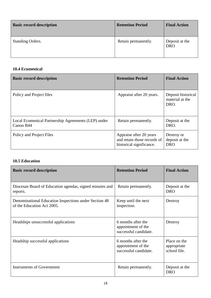| <b>Basic record description</b> | <b>Retention Period</b> | <b>Final Action</b>          |
|---------------------------------|-------------------------|------------------------------|
| <b>Standing Orders.</b>         | Retain permanently.     | Deposit at the<br><b>DRO</b> |

#### <span id="page-17-0"></span>**10.4 Ecumenical**

| <b>Basic record description</b>                                  | <b>Retention Period</b>                                                            | <b>Final Action</b>                           |
|------------------------------------------------------------------|------------------------------------------------------------------------------------|-----------------------------------------------|
| Policy and Project files                                         | Appraise after 20 years.                                                           | Deposit historical<br>material at the<br>DRO. |
| Local Ecumenical Partnership Agreements (LEP) under<br>Canon B44 | Retain permanently.                                                                | Deposit at the<br>DRO.                        |
| Policy and Project Files                                         | Appraise after 20 years<br>and retain those records of<br>historical significance. | Destroy or<br>deposit at the<br><b>DRO</b>    |

#### <span id="page-17-1"></span>**10.5 Education**

| <b>Basic record description</b>                                                     | <b>Retention Period</b>                                           | <b>Final Action</b>                         |
|-------------------------------------------------------------------------------------|-------------------------------------------------------------------|---------------------------------------------|
| Diocesan Board of Education agendas, signed minutes and<br>reports.                 | Retain permanently.                                               | Deposit at the<br><b>DRO</b>                |
| Denominational Education Inspections under Section 48<br>of the Education Act 2005. | Keep until the next<br>inspection.                                | Destroy                                     |
| Headships unsuccessful applications                                                 | 6 months after the<br>appointment of the<br>successful candidate. | Destroy                                     |
| Headship successful applications                                                    | 6 months after the<br>appointment of the<br>successful candidate. | Place on the<br>appropriate<br>school file. |
| <b>Instruments of Government</b>                                                    | Retain permanently.                                               | Deposit at the<br><b>DRO</b>                |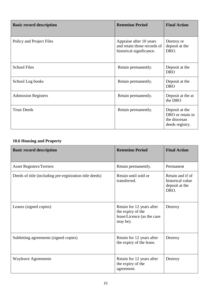| <b>Basic record description</b> | <b>Retention Period</b>                                                            | <b>Final Action</b>                                                   |
|---------------------------------|------------------------------------------------------------------------------------|-----------------------------------------------------------------------|
| Policy and Project Files        | Appraise after 10 years<br>and retain those records of<br>historical significance. | Destroy or<br>deposit at the<br>DRO.                                  |
| <b>School Files</b>             | Retain permanently.                                                                | Deposit at the<br><b>DRO</b>                                          |
| School Log books                | Retain permanently.                                                                | Deposit at the<br><b>DRO</b>                                          |
| <b>Admission Registers</b>      | Retain permanently.                                                                | Deposit at the at<br>the DRO                                          |
| <b>Trust Deeds</b>              | Retain permanently.                                                                | Deposit at the<br>DRO or retain in<br>the diocesan<br>deeds registry. |

#### <span id="page-18-0"></span>**10.6 Housing and Property**

| <b>Basic record description</b>                         | <b>Retention Period</b>                                                                  | <b>Final Action</b>                                            |
|---------------------------------------------------------|------------------------------------------------------------------------------------------|----------------------------------------------------------------|
| <b>Asset Registers/Terriers</b>                         | Retain permanently.                                                                      | Permanent                                                      |
| Deeds of title (including pre-registration title deeds) | Retain until sold or<br>transferred.                                                     | Retain and if of<br>historical value<br>deposit at the<br>DRO. |
| Leases (signed copies)                                  | Retain for 12 years after<br>the expiry of the<br>lease/Licence (as the case<br>may be). | Destroy                                                        |
| Subletting agreements (signed copies)                   | Retain for 12 years after<br>the expiry of the lease.                                    | Destroy                                                        |
| <b>Wayleave Agreements</b>                              | Retain for 12 years after<br>the expiry of the<br>agreement.                             | Destroy                                                        |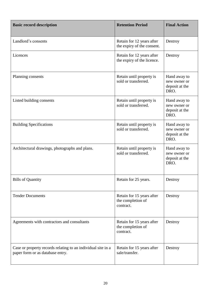| <b>Basic record description</b>                                                                  | <b>Retention Period</b>                                     | <b>Final Action</b>                                    |
|--------------------------------------------------------------------------------------------------|-------------------------------------------------------------|--------------------------------------------------------|
| Landlord's consents                                                                              | Retain for 12 years after<br>the expiry of the consent.     | Destroy                                                |
| Licences                                                                                         | Retain for 12 years after<br>the expiry of the licence.     | Destroy                                                |
| Planning consents                                                                                | Retain until property is<br>sold or transferred.            | Hand away to<br>new owner or<br>deposit at the<br>DRO. |
| Listed building consents                                                                         | Retain until property is<br>sold or transferred.            | Hand away to<br>new owner or<br>deposit at the<br>DRO. |
| <b>Building Specifications</b>                                                                   | Retain until property is<br>sold or transferred.            | Hand away to<br>new owner or<br>deposit at the<br>DRO. |
| Architectural drawings, photographs and plans.                                                   | Retain until property is<br>sold or transferred.            | Hand away to<br>new owner or<br>deposit at the<br>DRO. |
| <b>Bills of Quantity</b>                                                                         | Retain for 25 years.                                        | Destroy                                                |
| <b>Tender Documents</b>                                                                          | Retain for 15 years after<br>the completion of<br>contract. | Destroy                                                |
| Agreements with contractors and consultants                                                      | Retain for 15 years after<br>the completion of<br>contract. | Destroy                                                |
| Case or property records relating to an individual site in a<br>paper form or as database entry. | Retain for 15 years after<br>sale/transfer.                 | Destroy                                                |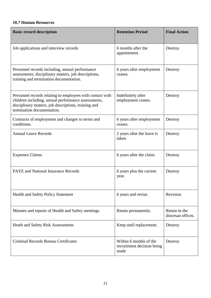#### <span id="page-20-0"></span>**10.7 Human Resources**

| <b>Basic record description</b>                                                                                                                                                                        | <b>Retention Period</b>                                      | <b>Final Action</b>                |
|--------------------------------------------------------------------------------------------------------------------------------------------------------------------------------------------------------|--------------------------------------------------------------|------------------------------------|
| Job applications and interview records                                                                                                                                                                 | 6 months after the<br>appointment.                           | Destroy                            |
| Personnel records including, annual performance<br>assessments, disciplinary matters, job descriptions,<br>training and termination documentation.                                                     | 6 years after employment<br>ceases.                          | Destroy                            |
| Personnel records relating to employees with contact with<br>children including, annual performance assessments,<br>disciplinary matters, job descriptions, training and<br>termination documentation. | Indefinitely after<br>employment ceases.                     | Destroy                            |
| Contracts of employment and changes to terms and<br>conditions.                                                                                                                                        | 6 years after employment<br>ceases.                          | Destroy                            |
| <b>Annual Leave Records</b>                                                                                                                                                                            | 2 years after the leave is<br>taken.                         | Destroy                            |
| <b>Expenses Claims</b>                                                                                                                                                                                 | 6 years after the claim.                                     | Destroy                            |
| <b>PAYE</b> and National Insurance Records                                                                                                                                                             | 6 years plus the current<br>year.                            | Destroy                            |
| <b>Health and Safety Policy Statement</b>                                                                                                                                                              | 6 years and revise.                                          | Revision                           |
| Minutes and reports of Health and Safety meetings                                                                                                                                                      | Retain permanently.                                          | Retain in the<br>diocesan offices. |
| <b>Heath and Safety Risk Assessments</b>                                                                                                                                                               | Keep until replacement.                                      | Destroy                            |
| <b>Criminal Records Bureau Certificates</b>                                                                                                                                                            | Within 6 months of the<br>recruitment decision being<br>made | Destroy                            |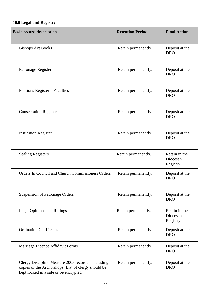## <span id="page-21-0"></span>**10.8 Legal and Registry**

| <b>Basic record description</b>                                                                                                                     | <b>Retention Period</b> | <b>Final Action</b>                   |
|-----------------------------------------------------------------------------------------------------------------------------------------------------|-------------------------|---------------------------------------|
| <b>Bishops Act Books</b>                                                                                                                            | Retain permanently.     | Deposit at the<br><b>DRO</b>          |
| Patronage Register                                                                                                                                  | Retain permanently.     | Deposit at the<br><b>DRO</b>          |
| Petitions Register – Faculties                                                                                                                      | Retain permanently.     | Deposit at the<br><b>DRO</b>          |
| <b>Consecration Register</b>                                                                                                                        | Retain permanently.     | Deposit at the<br><b>DRO</b>          |
| <b>Institution Register</b>                                                                                                                         | Retain permanently.     | Deposit at the<br><b>DRO</b>          |
| <b>Sealing Registers</b>                                                                                                                            | Retain permanently.     | Retain in the<br>Diocesan<br>Registry |
| Orders In Council and Church Commissioners Orders                                                                                                   | Retain permanently.     | Deposit at the<br><b>DRO</b>          |
| <b>Suspension of Patronage Orders</b>                                                                                                               | Retain permanently.     | Deposit at the<br><b>DRO</b>          |
| <b>Legal Opinions and Rulings</b>                                                                                                                   | Retain permanently.     | Retain in the<br>Diocesan<br>Registry |
| <b>Ordination Certificates</b>                                                                                                                      | Retain permanently.     | Deposit at the<br><b>DRO</b>          |
| Marriage Licence Affidavit Forms                                                                                                                    | Retain permanently.     | Deposit at the<br><b>DRO</b>          |
| Clergy Discipline Measure 2003 records – including<br>copies of the Archbishops' List of clergy should be<br>kept locked in a safe or be encrypted. | Retain permanently.     | Deposit at the<br><b>DRO</b>          |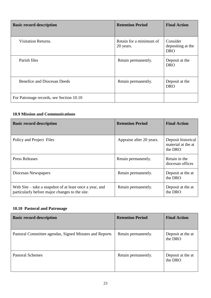| <b>Basic record description</b>          | <b>Retention Period</b>              | <b>Final Action</b>                         |
|------------------------------------------|--------------------------------------|---------------------------------------------|
| <b>Visitation Returns.</b>               | Retain for a minimum of<br>20 years. | Consider<br>depositing at the<br><b>DRO</b> |
| Parish files                             | Retain permanently.                  | Deposit at the<br><b>DRO</b>                |
| <b>Benefice and Diocesan Deeds</b>       | Retain permanently.                  | Deposit at the<br><b>DRO</b>                |
| For Patronage records, see Section 10.10 |                                      |                                             |

#### **10.9 Mission and Communications**

| <b>Basic record description</b>                                                                           | <b>Retention Period</b>  | <b>Final Action</b>                                 |
|-----------------------------------------------------------------------------------------------------------|--------------------------|-----------------------------------------------------|
| Policy and Project Files                                                                                  | Appraise after 20 years. | Deposit historical<br>material at the at<br>the DRO |
| <b>Press Releases</b>                                                                                     | Retain permanently.      | Retain in the<br>diocesan offices                   |
| Diocesan Newspapers                                                                                       | Retain permanently.      | Deposit at the at<br>the DRO                        |
| Web Site – take a snapshot of at least once a year, and<br>particularly before major changes to the site. | Retain permanently.      | Deposit at the at<br>the DRO                        |

#### **10.10 Pastoral and Patronage**

| <b>Basic record description</b>                        | <b>Retention Period</b> | <b>Final Action</b>          |
|--------------------------------------------------------|-------------------------|------------------------------|
| Pastoral Committee agendas, Signed Minutes and Reports | Retain permanently.     | Deposit at the at<br>the DRO |
| <b>Pastoral Schemes</b>                                | Retain permanently.     | Deposit at the at<br>the DRO |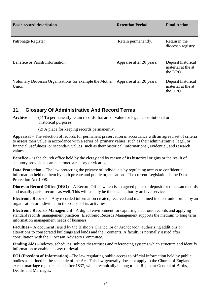| <b>Basic record description</b>                                   | <b>Retention Period</b>  | <b>Final Action</b>                                 |
|-------------------------------------------------------------------|--------------------------|-----------------------------------------------------|
| Patronage Register                                                | Retain permanently.      | Retain in the<br>diocesan registry.                 |
| Benefice or Parish Information                                    | Appraise after 20 years. | Deposit historical<br>material at the at<br>the DRO |
| Voluntary Diocesan Organisations for example the Mother<br>Union. | Appraise after 20 years. | Deposit historical<br>material at the at<br>the DRO |

### <span id="page-23-0"></span>**11. Glossary Of Administrative And Record Terms**

**Archive** – (1) To permanently retain records that are of value for legal, constitutional or historical purposes.

(2) A place for keeping records permanently.

**Appraisal** – The selection of records for permanent preservation in accordance with an agreed set of criteria to assess their value in accordance with a series of primary values, such as their administrative, legal, or financial usefulness, or secondary values, such as their historical, informational, evidential, and research values.

**Benefice** – is the church office held by the clergy and by reason of its historical origins or the result of statutory provisions can be termed a rectory or vicarage.

**Data Protection** – The law protecting the privacy of individuals by regulating access to confidential information held on them by both private and public organisations. The current Legislation is the Data Protection Act 1998.

**Diocesan Record Office (DRO)** – A Record Office which is an agreed place of deposit for diocesan records and usually parish records as well. This will usually be the local authority archive service.

**Electronic Records** – Any recorded information created, received and maintained in electronic format by an organisation or individual in the course of its activities.

**Electronic Records Management** - A digital environment for capturing electronic records and applying standard records management practices. Electronic Records Management supports the medium to long term information management needs of business.

**Faculties** – A document issued by the Bishop's Chancellor or Archdeacon, authorising additions or alterations to consecrated buildings and lands and their contents. A faculty is normally issued after consultation with the Diocesan Advisory Committee.

Finding Aids –Indexes, schedules, subject thesauruses and referencing systems which structure and identify information to enable its easy retrieval.

**FOI (Freedom of Information)** –The law regulating public access to official information held by public bodies as defined in the schedule of the Act. This law generally does not apply to the Church of England, except marriage registers dated after 1837, which technically belong to the Registrar General of Births, Deaths and Marriages.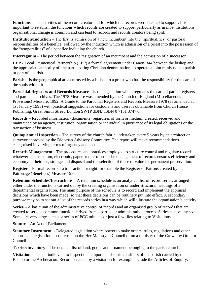**Functions** –The activities of the record creator and for which the records were created to support. It is important to establish the functions which records are created to support particularly as in most institutions organisational change is common and can lead to records and records creators being split.

**Institution/Induction** – The first is admission of a new incumbent into the "spiritualities" or pastoral responsibilities of a benefice. Followed by the induction which is admission of a priest into the possession of the "temporalities" of a benefice including the church.

**Interregnum** – The period between the resignation of an incumbent and the admission of a successor.

**LEP** - Local Ecumenical Partnership (LEP) a formal agreement under Canon B44 between the bishop and the appropriate authority of the participating Christian denomination to operate a joint ministry in a parish or part of a parish.

**Parish** – Is the geographical area entrusted by a bishop to a priest who has the responsibility for the care of the souls within it.

**Parochial Registers and Records Measure** – Is the legislation which regulates the care of parish registers and parochial archives. The 1978 Measure was amended by the Church of England (Miscellaneous Provisions) Measure, 1992. A Guide to the Parochial Registers and Records Measure 1978 (as amended at 1st January 1993) with practical suggestions for custodians and users is obtainable from Church House Publishing, Great Smith Street, London SW1P 3BN. ISBN 0 7151 3747 6.

**Records** – Recorded information (documents) regardless of form or medium created, received and maintained by an agency, institution, organisation or individual in pursuance of its legal obligations or the transaction of business.

**Quinquennial Inspection** – The survey of the church fabric undertaken every 5 years by an architect or surveyor approved by the Diocesan Advisory Committee. The report will make recommendations categorised in varying terms of urgency and cost.

**Records Management** - The procedures and practices employed to structure control and regulate records whatever their medium, electronic, paper or microform. The management of records ensures efficiency and economy in their use, storage and disposal and the selection of those of value for permanent preservation.

**Register** – Formal record of a transaction or right for example the Register of Patrons created by the Patronage (Benefices) Measure 1986.

**Retention Schedules/Instructions** – A retention schedule is an analytical list of record series, arranged either under the functions carried out by the creating organisation or under structural headings of a departmental organisation. The main purpose of the schedule is to record and implement the appraisal decisions which have been made, so that these decisions can be routinely put into effect. A secondary purpose may be to set out a list of the records series in a way which will illustrate the organisation's activity.

**Series** – A basic unit of the administrative control of records and an organised group of records that are created to serve a common function derived from a particular administrative process. Series can be any size. Some are very large such as a series of PCC minutes or just a few files relating to Visitations.

**Statute** – An Act of Parliament.

**Statutory Instrument** - Delegated legislation where power to make orders, rules, regulations and other subordinate legislation is conferred on the Her Majesty in Council or on a minister of the Crown by Order n Council.

**Terrier/Inventory** – The detailed list of land, goods and ornament belonging to the parish church.

**Visitation** – The periodic visit to inspect the temporal and spiritual affairs of the parish carried by the Bishop or the Archdeacon. Records created by a visitation for example include the Articles of Enquiry.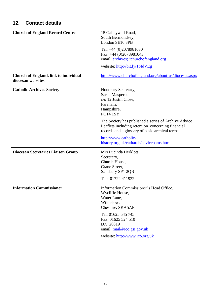## <span id="page-25-0"></span>**12. Contact details**

| <b>Church of England Record Centre</b>                            | 15 Galleywall Road,<br>South Bermondsey,<br>London SE16 3PB<br>Tel: +44 (0)2078981030<br>Fax: $+44$ (0)2078981043<br>email: archives@churchofengland.org<br>website: http://bit.ly/1oIdVEg                                                                                                                                                   |
|-------------------------------------------------------------------|----------------------------------------------------------------------------------------------------------------------------------------------------------------------------------------------------------------------------------------------------------------------------------------------------------------------------------------------|
| <b>Church of England, link to individual</b><br>diocesan websites | http://www.churchofengland.org/about-us/dioceses.aspx                                                                                                                                                                                                                                                                                        |
| <b>Catholic Archives Society</b>                                  | Honorary Secretary,<br>Sarah Maspero,<br>c/o 12 Justin Close,<br>Fareham,<br>Hampshire,<br><b>PO14 1SY</b><br>The Society has published a series of Archive Advice<br>Leaflets including retention concerning financial<br>records and a glossary of basic archival terms:<br>http://www.catholic-<br>history.org.uk/catharch/advicepams.htm |
| <b>Diocesan Secretaries Liaison Group</b>                         | Mrs Lucinda Herklots,<br>Secretary,<br>Church House,<br>Crane Street,<br>Salisbury SP1 2QB<br>Tel: 01722 411922                                                                                                                                                                                                                              |
| <b>Information Commissioner</b>                                   | Information Commissioner's Head Office,<br>Wycliffe House,<br>Water Lane,<br>Wilmslow,<br>Cheshire, SK9 5AF.<br>Tel: 01625 545 745<br>Fax: 01625 524 510<br>DX 20819<br>email: mail@ico.gsi.gov.uk<br>website: http://www.ico.org.uk                                                                                                         |